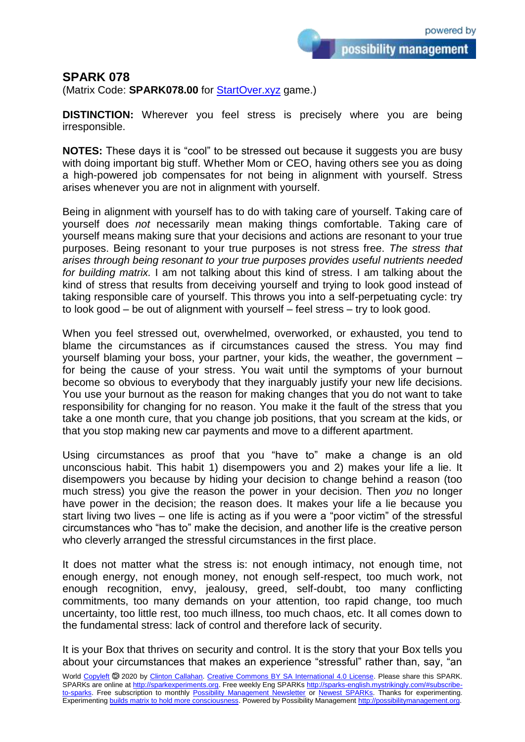possibility management

## **SPARK 078**

(Matrix Code: **SPARK078.00** for **StartOver.xyz** game.)

**DISTINCTION:** Wherever you feel stress is precisely where you are being irresponsible.

**NOTES:** These days it is "cool" to be stressed out because it suggests you are busy with doing important big stuff. Whether Mom or CEO, having others see you as doing a high-powered job compensates for not being in alignment with yourself. Stress arises whenever you are not in alignment with yourself.

Being in alignment with yourself has to do with taking care of yourself. Taking care of yourself does *not* necessarily mean making things comfortable. Taking care of yourself means making sure that your decisions and actions are resonant to your true purposes. Being resonant to your true purposes is not stress free. *The stress that arises through being resonant to your true purposes provides useful nutrients needed for building matrix.* I am not talking about this kind of stress. I am talking about the kind of stress that results from deceiving yourself and trying to look good instead of taking responsible care of yourself. This throws you into a self-perpetuating cycle: try to look good – be out of alignment with yourself – feel stress – try to look good.

When you feel stressed out, overwhelmed, overworked, or exhausted, you tend to blame the circumstances as if circumstances caused the stress. You may find yourself blaming your boss, your partner, your kids, the weather, the government – for being the cause of your stress. You wait until the symptoms of your burnout become so obvious to everybody that they inarguably justify your new life decisions. You use your burnout as the reason for making changes that you do not want to take responsibility for changing for no reason. You make it the fault of the stress that you take a one month cure, that you change job positions, that you scream at the kids, or that you stop making new car payments and move to a different apartment.

Using circumstances as proof that you "have to" make a change is an old unconscious habit. This habit 1) disempowers you and 2) makes your life a lie. It disempowers you because by hiding your decision to change behind a reason (too much stress) you give the reason the power in your decision. Then *you* no longer have power in the decision; the reason does. It makes your life a lie because you start living two lives – one life is acting as if you were a "poor victim" of the stressful circumstances who "has to" make the decision, and another life is the creative person who cleverly arranged the stressful circumstances in the first place.

It does not matter what the stress is: not enough intimacy, not enough time, not enough energy, not enough money, not enough self-respect, too much work, not enough recognition, envy, jealousy, greed, self-doubt, too many conflicting commitments, too many demands on your attention, too rapid change, too much uncertainty, too little rest, too much illness, too much chaos, etc. It all comes down to the fundamental stress: lack of control and therefore lack of security.

It is your Box that thrives on security and control. It is the story that your Box tells you about your circumstances that makes an experience "stressful" rather than, say, "an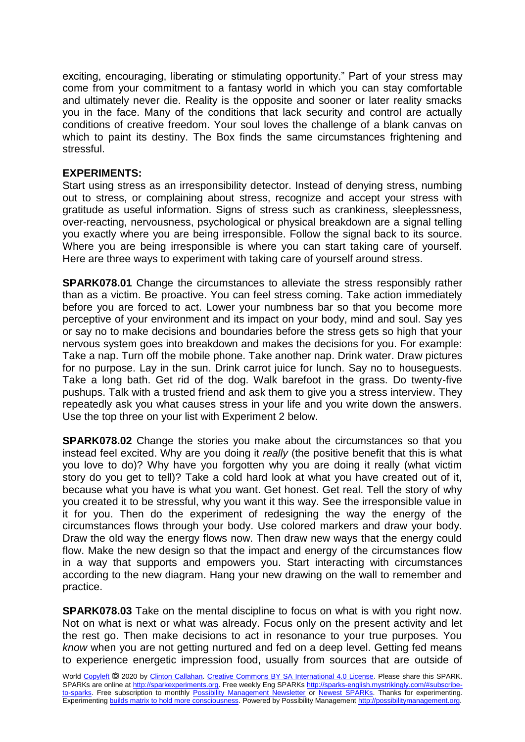exciting, encouraging, liberating or stimulating opportunity." Part of your stress may come from your commitment to a fantasy world in which you can stay comfortable and ultimately never die. Reality is the opposite and sooner or later reality smacks you in the face. Many of the conditions that lack security and control are actually conditions of creative freedom. Your soul loves the challenge of a blank canvas on which to paint its destiny. The Box finds the same circumstances frightening and stressful.

## **EXPERIMENTS:**

Start using stress as an irresponsibility detector. Instead of denying stress, numbing out to stress, or complaining about stress, recognize and accept your stress with gratitude as useful information. Signs of stress such as crankiness, sleeplessness, over-reacting, nervousness, psychological or physical breakdown are a signal telling you exactly where you are being irresponsible. Follow the signal back to its source. Where you are being irresponsible is where you can start taking care of yourself. Here are three ways to experiment with taking care of yourself around stress.

**SPARK078.01** Change the circumstances to alleviate the stress responsibly rather than as a victim. Be proactive. You can feel stress coming. Take action immediately before you are forced to act. Lower your numbness bar so that you become more perceptive of your environment and its impact on your body, mind and soul. Say yes or say no to make decisions and boundaries before the stress gets so high that your nervous system goes into breakdown and makes the decisions for you. For example: Take a nap. Turn off the mobile phone. Take another nap. Drink water. Draw pictures for no purpose. Lay in the sun. Drink carrot juice for lunch. Say no to houseguests. Take a long bath. Get rid of the dog. Walk barefoot in the grass. Do twenty-five pushups. Talk with a trusted friend and ask them to give you a stress interview. They repeatedly ask you what causes stress in your life and you write down the answers. Use the top three on your list with Experiment 2 below.

**SPARK078.02** Change the stories you make about the circumstances so that you instead feel excited. Why are you doing it *really* (the positive benefit that this is what you love to do)? Why have you forgotten why you are doing it really (what victim story do you get to tell)? Take a cold hard look at what you have created out of it, because what you have is what you want. Get honest. Get real. Tell the story of why you created it to be stressful, why you want it this way. See the irresponsible value in it for you. Then do the experiment of redesigning the way the energy of the circumstances flows through your body. Use colored markers and draw your body. Draw the old way the energy flows now. Then draw new ways that the energy could flow. Make the new design so that the impact and energy of the circumstances flow in a way that supports and empowers you. Start interacting with circumstances according to the new diagram. Hang your new drawing on the wall to remember and practice.

**SPARK078.03** Take on the mental discipline to focus on what is with you right now. Not on what is next or what was already. Focus only on the present activity and let the rest go. Then make decisions to act in resonance to your true purposes. You *know* when you are not getting nurtured and fed on a deep level. Getting fed means to experience energetic impression food, usually from sources that are outside of